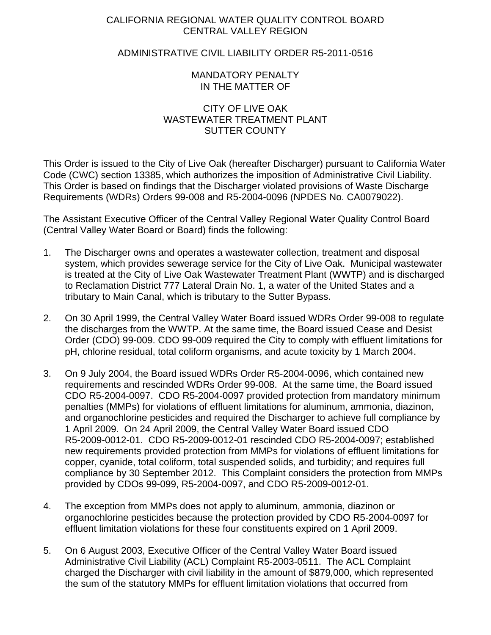# CALIFORNIA REGIONAL WATER QUALITY CONTROL BOARD CENTRAL VALLEY REGION

# ADMINISTRATIVE CIVIL LIABILITY ORDER R5-2011-0516

# MANDATORY PENALTY IN THE MATTER OF

### CITY OF LIVE OAK WASTEWATER TREATMENT PLANT SUTTER COUNTY

This Order is issued to the City of Live Oak (hereafter Discharger) pursuant to California Water Code (CWC) section 13385, which authorizes the imposition of Administrative Civil Liability. This Order is based on findings that the Discharger violated provisions of Waste Discharge Requirements (WDRs) Orders 99-008 and R5-2004-0096 (NPDES No. CA0079022).

The Assistant Executive Officer of the Central Valley Regional Water Quality Control Board (Central Valley Water Board or Board) finds the following:

- 1. The Discharger owns and operates a wastewater collection, treatment and disposal system, which provides sewerage service for the City of Live Oak. Municipal wastewater is treated at the City of Live Oak Wastewater Treatment Plant (WWTP) and is discharged to Reclamation District 777 Lateral Drain No. 1, a water of the United States and a tributary to Main Canal, which is tributary to the Sutter Bypass.
- 2. On 30 April 1999, the Central Valley Water Board issued WDRs Order 99-008 to regulate the discharges from the WWTP. At the same time, the Board issued Cease and Desist Order (CDO) 99-009. CDO 99-009 required the City to comply with effluent limitations for pH, chlorine residual, total coliform organisms, and acute toxicity by 1 March 2004.
- 3. On 9 July 2004, the Board issued WDRs Order R5-2004-0096, which contained new requirements and rescinded WDRs Order 99-008. At the same time, the Board issued CDO R5-2004-0097. CDO R5-2004-0097 provided protection from mandatory minimum penalties (MMPs) for violations of effluent limitations for aluminum, ammonia, diazinon, and organochlorine pesticides and required the Discharger to achieve full compliance by 1 April 2009. On 24 April 2009, the Central Valley Water Board issued CDO R5-2009-0012-01. CDO R5-2009-0012-01 rescinded CDO R5-2004-0097; established new requirements provided protection from MMPs for violations of effluent limitations for copper, cyanide, total coliform, total suspended solids, and turbidity; and requires full compliance by 30 September 2012. This Complaint considers the protection from MMPs provided by CDOs 99-099, R5-2004-0097, and CDO R5-2009-0012-01.
- 4. The exception from MMPs does not apply to aluminum, ammonia, diazinon or organochlorine pesticides because the protection provided by CDO R5-2004-0097 for effluent limitation violations for these four constituents expired on 1 April 2009.
- 5. On 6 August 2003, Executive Officer of the Central Valley Water Board issued Administrative Civil Liability (ACL) Complaint R5-2003-0511. The ACL Complaint charged the Discharger with civil liability in the amount of \$879,000, which represented the sum of the statutory MMPs for effluent limitation violations that occurred from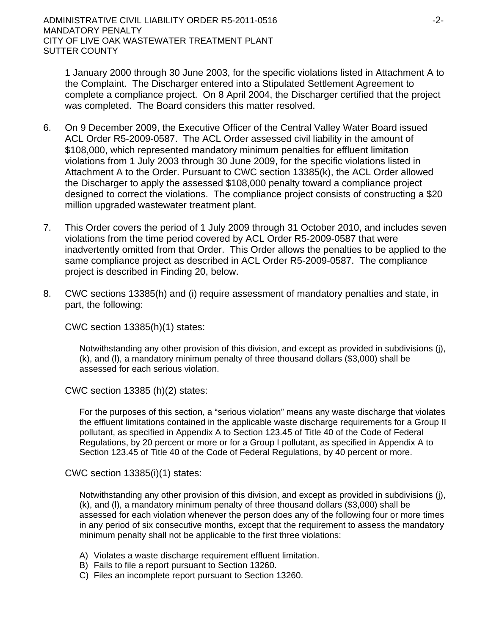1 January 2000 through 30 June 2003, for the specific violations listed in Attachment A to the Complaint. The Discharger entered into a Stipulated Settlement Agreement to complete a compliance project. On 8 April 2004, the Discharger certified that the project was completed. The Board considers this matter resolved.

- 6. On 9 December 2009, the Executive Officer of the Central Valley Water Board issued ACL Order R5-2009-0587. The ACL Order assessed civil liability in the amount of \$108,000, which represented mandatory minimum penalties for effluent limitation violations from 1 July 2003 through 30 June 2009, for the specific violations listed in Attachment A to the Order. Pursuant to CWC section 13385(k), the ACL Order allowed the Discharger to apply the assessed \$108,000 penalty toward a compliance project designed to correct the violations. The compliance project consists of constructing a \$20 million upgraded wastewater treatment plant.
- 7. This Order covers the period of 1 July 2009 through 31 October 2010, and includes seven violations from the time period covered by ACL Order R5-2009-0587 that were inadvertently omitted from that Order. This Order allows the penalties to be applied to the same compliance project as described in ACL Order R5-2009-0587. The compliance project is described in Finding 20, below.
- 8. CWC sections 13385(h) and (i) require assessment of mandatory penalties and state, in part, the following:

CWC section 13385(h)(1) states:

Notwithstanding any other provision of this division, and except as provided in subdivisions (j), (k), and (l), a mandatory minimum penalty of three thousand dollars (\$3,000) shall be assessed for each serious violation.

CWC section 13385 (h)(2) states:

For the purposes of this section, a "serious violation" means any waste discharge that violates the effluent limitations contained in the applicable waste discharge requirements for a Group II pollutant, as specified in Appendix A to Section 123.45 of Title 40 of the Code of Federal Regulations, by 20 percent or more or for a Group I pollutant, as specified in Appendix A to Section 123.45 of Title 40 of the Code of Federal Regulations, by 40 percent or more.

CWC section 13385(i)(1) states:

Notwithstanding any other provision of this division, and except as provided in subdivisions (j), (k), and (l), a mandatory minimum penalty of three thousand dollars (\$3,000) shall be assessed for each violation whenever the person does any of the following four or more times in any period of six consecutive months, except that the requirement to assess the mandatory minimum penalty shall not be applicable to the first three violations:

- A) Violates a waste discharge requirement effluent limitation.
- B) Fails to file a report pursuant to Section 13260.
- C) Files an incomplete report pursuant to Section 13260.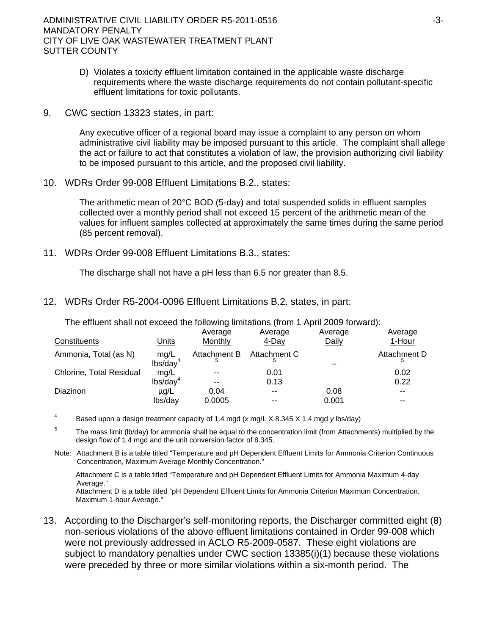ADMINISTRATIVE CIVIL LIABILITY ORDER R5-2011-0516 ADMINISTRATIVE CIVIL LIABILITY ORDER R5-2011-0516 MANDATORY PENALTY CITY OF LIVE OAK WASTEWATER TREATMENT PLANT SUTTER COUNTY

- D) Violates a toxicity effluent limitation contained in the applicable waste discharge requirements where the waste discharge requirements do not contain pollutant-specific effluent limitations for toxic pollutants.
- 9. CWC section 13323 states, in part:

Any executive officer of a regional board may issue a complaint to any person on whom administrative civil liability may be imposed pursuant to this article. The complaint shall allege the act or failure to act that constitutes a violation of law, the provision authorizing civil liability to be imposed pursuant to this article, and the proposed civil liability.

10. WDRs Order 99-008 Effluent Limitations B.2., states:

The arithmetic mean of 20°C BOD (5-day) and total suspended solids in effluent samples collected over a monthly period shall not exceed 15 percent of the arithmetic mean of the values for influent samples collected at approximately the same times during the same period (85 percent removal).

11. WDRs Order 99-008 Effluent Limitations B.3., states:

The discharge shall not have a pH less than 6.5 nor greater than 8.5.

12. WDRs Order R5-2004-0096 Effluent Limitations B.2. states, in part:

| The onloan onal not onceed the following immations (from TV long 2000 for Mara). |                              | Average        | Average                   | Average | Average      |
|----------------------------------------------------------------------------------|------------------------------|----------------|---------------------------|---------|--------------|
| Constituents                                                                     | Units                        | Monthly        | 4-Day                     | Daily   | 1-Hour       |
| Ammonia, Total (as N)                                                            | mg/L<br>$\text{lbs/day}^4$   |                | Attachment B Attachment C |         | Attachment D |
| <b>Chlorine, Total Residual</b>                                                  | mg/L<br>lbs/day <sup>4</sup> | $- -$<br>$- -$ | 0.01<br>0.13              |         | 0.02<br>0.22 |
| Diazinon                                                                         | $\mu$ g/L                    | 0.04           | $- -$                     | 0.08    | $- -$        |
|                                                                                  | lbs/day                      | 0.0005         |                           | 0.001   | --           |

The effluent shall not exceed the following limitations (from 1 April 2009 forward):

- 4 Based upon a design treatment capacity of 1.4 mgd (*x* mg/L X 8.345 X 1.4 mgd *y* lbs/day)
- 5 The mass limit (lb/day) for ammonia shall be equal to the concentration limit (from Attachments) multiplied by the design flow of 1.4 mgd and the unit conversion factor of 8.345.
- Note: Attachment B is a table titled "Temperature and pH Dependent Effluent Limits for Ammonia Criterion Continuous Concentration, Maximum Average Monthly Concentration."

 Attachment C is a table titled "Temperature and pH Dependent Effluent Limits for Ammonia Maximum 4-day Average."

 Attachment D is a table titled "pH Dependent Effluent Limits for Ammonia Criterion Maximum Concentration, Maximum 1-hour Average."

13. According to the Discharger's self-monitoring reports, the Discharger committed eight (8) non-serious violations of the above effluent limitations contained in Order 99-008 which were not previously addressed in ACLO R5-2009-0587. These eight violations are subject to mandatory penalties under CWC section 13385(i)(1) because these violations were preceded by three or more similar violations within a six-month period. The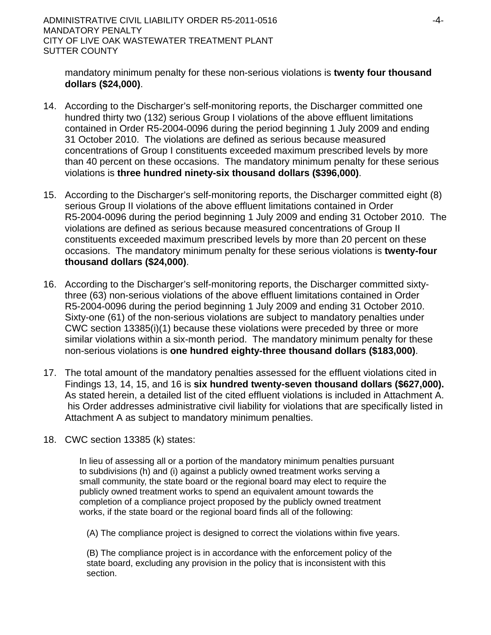ADMINISTRATIVE CIVIL LIABILITY ORDER R5-2011-0516 FALL CONDUCTS ALSO ALL THE RESERVE THAT ALL THAT ALL THAT ALL THAT ALL THAT ALL THAT ALL THAT ALL THAT ALL THAT ALL THAT ALL THAT ALL THAT ALL THAT ALL THAT ALL THAT ALL TH MANDATORY PENALTY CITY OF LIVE OAK WASTEWATER TREATMENT PLANT SUTTER COUNTY

mandatory minimum penalty for these non-serious violations is **twenty four thousand dollars (\$24,000)**.

- 14. According to the Discharger's self-monitoring reports, the Discharger committed one hundred thirty two (132) serious Group I violations of the above effluent limitations contained in Order R5-2004-0096 during the period beginning 1 July 2009 and ending 31 October 2010. The violations are defined as serious because measured concentrations of Group I constituents exceeded maximum prescribed levels by more than 40 percent on these occasions. The mandatory minimum penalty for these serious violations is **three hundred ninety-six thousand dollars (\$396,000)**.
- 15. According to the Discharger's self-monitoring reports, the Discharger committed eight (8) serious Group II violations of the above effluent limitations contained in Order R5-2004-0096 during the period beginning 1 July 2009 and ending 31 October 2010. The violations are defined as serious because measured concentrations of Group II constituents exceeded maximum prescribed levels by more than 20 percent on these occasions. The mandatory minimum penalty for these serious violations is **twenty-four thousand dollars (\$24,000)**.
- 16. According to the Discharger's self-monitoring reports, the Discharger committed sixtythree (63) non-serious violations of the above effluent limitations contained in Order R5-2004-0096 during the period beginning 1 July 2009 and ending 31 October 2010. Sixty-one (61) of the non-serious violations are subject to mandatory penalties under CWC section 13385(i)(1) because these violations were preceded by three or more similar violations within a six-month period. The mandatory minimum penalty for these non-serious violations is **one hundred eighty-three thousand dollars (\$183,000)**.
- 17. The total amount of the mandatory penalties assessed for the effluent violations cited in Findings 13, 14, 15, and 16 is **six hundred twenty-seven thousand dollars (\$627,000).**  As stated herein, a detailed list of the cited effluent violations is included in Attachment A. his Order addresses administrative civil liability for violations that are specifically listed in Attachment A as subject to mandatory minimum penalties.
- 18. CWC section 13385 (k) states:

In lieu of assessing all or a portion of the mandatory minimum penalties pursuant to subdivisions (h) and (i) against a publicly owned treatment works serving a small community, the state board or the regional board may elect to require the publicly owned treatment works to spend an equivalent amount towards the completion of a compliance project proposed by the publicly owned treatment works, if the state board or the regional board finds all of the following:

(A) The compliance project is designed to correct the violations within five years.

(B) The compliance project is in accordance with the enforcement policy of the state board, excluding any provision in the policy that is inconsistent with this section.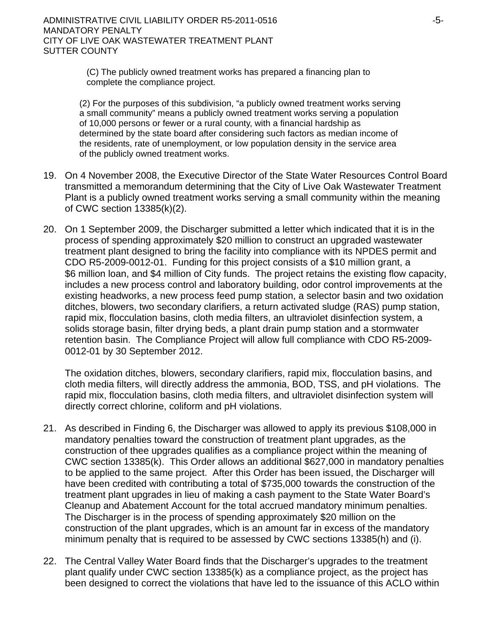(C) The publicly owned treatment works has prepared a financing plan to complete the compliance project.

(2) For the purposes of this subdivision, "a publicly owned treatment works serving a small community" means a publicly owned treatment works serving a population of 10,000 persons or fewer or a rural county, with a financial hardship as determined by the state board after considering such factors as median income of the residents, rate of unemployment, or low population density in the service area of the publicly owned treatment works.

- 19. On 4 November 2008, the Executive Director of the State Water Resources Control Board transmitted a memorandum determining that the City of Live Oak Wastewater Treatment Plant is a publicly owned treatment works serving a small community within the meaning of CWC section 13385(k)(2).
- 20. On 1 September 2009, the Discharger submitted a letter which indicated that it is in the process of spending approximately \$20 million to construct an upgraded wastewater treatment plant designed to bring the facility into compliance with its NPDES permit and CDO R5-2009-0012-01. Funding for this project consists of a \$10 million grant, a \$6 million loan, and \$4 million of City funds. The project retains the existing flow capacity, includes a new process control and laboratory building, odor control improvements at the existing headworks, a new process feed pump station, a selector basin and two oxidation ditches, blowers, two secondary clarifiers, a return activated sludge (RAS) pump station, rapid mix, flocculation basins, cloth media filters, an ultraviolet disinfection system, a solids storage basin, filter drying beds, a plant drain pump station and a stormwater retention basin. The Compliance Project will allow full compliance with CDO R5-2009- 0012-01 by 30 September 2012.

The oxidation ditches, blowers, secondary clarifiers, rapid mix, flocculation basins, and cloth media filters, will directly address the ammonia, BOD, TSS, and pH violations. The rapid mix, flocculation basins, cloth media filters, and ultraviolet disinfection system will directly correct chlorine, coliform and pH violations.

- 21. As described in Finding 6, the Discharger was allowed to apply its previous \$108,000 in mandatory penalties toward the construction of treatment plant upgrades, as the construction of thee upgrades qualifies as a compliance project within the meaning of CWC section 13385(k). This Order allows an additional \$627,000 in mandatory penalties to be applied to the same project. After this Order has been issued, the Discharger will have been credited with contributing a total of \$735,000 towards the construction of the treatment plant upgrades in lieu of making a cash payment to the State Water Board's Cleanup and Abatement Account for the total accrued mandatory minimum penalties. The Discharger is in the process of spending approximately \$20 million on the construction of the plant upgrades, which is an amount far in excess of the mandatory minimum penalty that is required to be assessed by CWC sections 13385(h) and (i).
- 22. The Central Valley Water Board finds that the Discharger's upgrades to the treatment plant qualify under CWC section 13385(k) as a compliance project, as the project has been designed to correct the violations that have led to the issuance of this ACLO within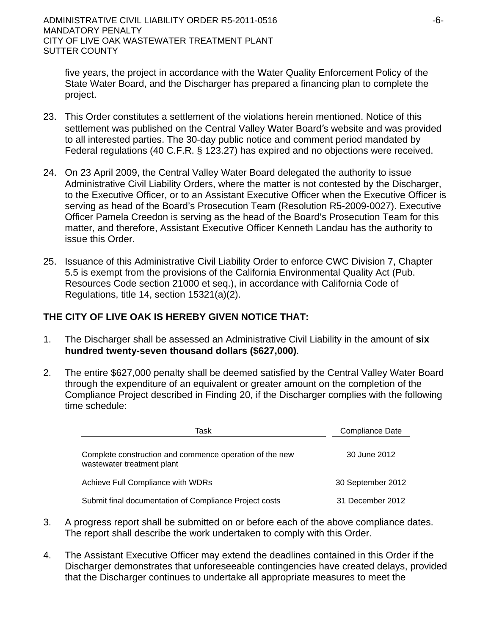five years, the project in accordance with the Water Quality Enforcement Policy of the State Water Board, and the Discharger has prepared a financing plan to complete the project.

- 23. This Order constitutes a settlement of the violations herein mentioned. Notice of this settlement was published on the Central Valley Water Board's website and was provided to all interested parties. The 30-day public notice and comment period mandated by Federal regulations (40 C.F.R. § 123.27) has expired and no objections were received.
- 24. On 23 April 2009, the Central Valley Water Board delegated the authority to issue Administrative Civil Liability Orders, where the matter is not contested by the Discharger, to the Executive Officer, or to an Assistant Executive Officer when the Executive Officer is serving as head of the Board's Prosecution Team (Resolution R5-2009-0027). Executive Officer Pamela Creedon is serving as the head of the Board's Prosecution Team for this matter, and therefore, Assistant Executive Officer Kenneth Landau has the authority to issue this Order.
- 25. Issuance of this Administrative Civil Liability Order to enforce CWC Division 7, Chapter 5.5 is exempt from the provisions of the California Environmental Quality Act (Pub. Resources Code section 21000 et seq.), in accordance with California Code of Regulations, title 14, section 15321(a)(2).

# **THE CITY OF LIVE OAK IS HEREBY GIVEN NOTICE THAT:**

- 1. The Discharger shall be assessed an Administrative Civil Liability in the amount of **six hundred twenty-seven thousand dollars (\$627,000)**.
- 2. The entire \$627,000 penalty shall be deemed satisfied by the Central Valley Water Board through the expenditure of an equivalent or greater amount on the completion of the Compliance Project described in Finding 20, if the Discharger complies with the following time schedule:

| Task                                                                                  | Compliance Date   |  |  |
|---------------------------------------------------------------------------------------|-------------------|--|--|
| Complete construction and commence operation of the new<br>wastewater treatment plant | 30 June 2012      |  |  |
| Achieve Full Compliance with WDRs                                                     | 30 September 2012 |  |  |
| Submit final documentation of Compliance Project costs                                | 31 December 2012  |  |  |

- 3. A progress report shall be submitted on or before each of the above compliance dates. The report shall describe the work undertaken to comply with this Order.
- 4. The Assistant Executive Officer may extend the deadlines contained in this Order if the Discharger demonstrates that unforeseeable contingencies have created delays, provided that the Discharger continues to undertake all appropriate measures to meet the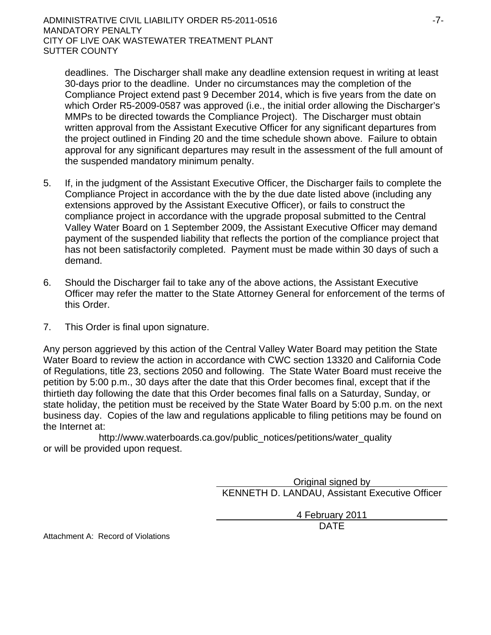deadlines. The Discharger shall make any deadline extension request in writing at least 30-days prior to the deadline. Under no circumstances may the completion of the Compliance Project extend past 9 December 2014, which is five years from the date on which Order R5-2009-0587 was approved (i.e., the initial order allowing the Discharger's MMPs to be directed towards the Compliance Project). The Discharger must obtain written approval from the Assistant Executive Officer for any significant departures from the project outlined in Finding 20 and the time schedule shown above. Failure to obtain approval for any significant departures may result in the assessment of the full amount of the suspended mandatory minimum penalty.

- 5. If, in the judgment of the Assistant Executive Officer, the Discharger fails to complete the Compliance Project in accordance with the by the due date listed above (including any extensions approved by the Assistant Executive Officer), or fails to construct the compliance project in accordance with the upgrade proposal submitted to the Central Valley Water Board on 1 September 2009, the Assistant Executive Officer may demand payment of the suspended liability that reflects the portion of the compliance project that has not been satisfactorily completed. Payment must be made within 30 days of such a demand.
- 6. Should the Discharger fail to take any of the above actions, the Assistant Executive Officer may refer the matter to the State Attorney General for enforcement of the terms of this Order.
- 7. This Order is final upon signature.

Any person aggrieved by this action of the Central Valley Water Board may petition the State Water Board to review the action in accordance with CWC section 13320 and California Code of Regulations, title 23, sections 2050 and following. The State Water Board must receive the petition by 5:00 p.m., 30 days after the date that this Order becomes final, except that if the thirtieth day following the date that this Order becomes final falls on a Saturday, Sunday, or state holiday, the petition must be received by the State Water Board by 5:00 p.m. on the next business day. Copies of the law and regulations applicable to filing petitions may be found on the Internet at:

http://www.waterboards.ca.gov/public\_notices/petitions/water\_quality or will be provided upon request.

> Original signed by KENNETH D. LANDAU, Assistant Executive Officer

> > 4 February 2011

design and the contract of the contract of the DATE of the contract of the contract of the contract of the contract of the contract of the contract of the contract of the contract of the contract of the contract of the con

Attachment A: Record of Violations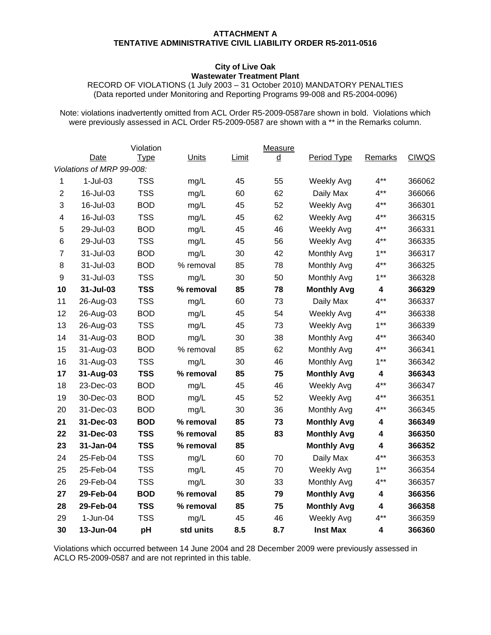#### **ATTACHMENT A TENTATIVE ADMINISTRATIVE CIVIL LIABILITY ORDER R5-2011-0516**

#### **City of Live Oak Wastewater Treatment Plant**

RECORD OF VIOLATIONS (1 July 2003 – 31 October 2010) MANDATORY PENALTIES (Data reported under Monitoring and Reporting Programs 99-008 and R5-2004-0096)

Note: violations inadvertently omitted from ACL Order R5-2009-0587are shown in bold. Violations which were previously assessed in ACL Order R5-2009-0587 are shown with a \*\* in the Remarks column.

|                |                           | Violation   |              |       | Measure         |                    |                |              |
|----------------|---------------------------|-------------|--------------|-------|-----------------|--------------------|----------------|--------------|
|                | Date                      | <u>Type</u> | <b>Units</b> | Limit | $\underline{d}$ | Period Type        | <b>Remarks</b> | <b>CIWQS</b> |
|                | Violations of MRP 99-008: |             |              |       |                 |                    |                |              |
| 1              | $1-Jul-03$                | <b>TSS</b>  | mg/L         | 45    | 55              | <b>Weekly Avg</b>  | $4***$         | 366062       |
| $\overline{2}$ | 16-Jul-03                 | <b>TSS</b>  | mg/L         | 60    | 62              | Daily Max          | $4***$         | 366066       |
| 3              | 16-Jul-03                 | <b>BOD</b>  | mg/L         | 45    | 52              | Weekly Avg         | $4***$         | 366301       |
| 4              | 16-Jul-03                 | <b>TSS</b>  | mg/L         | 45    | 62              | <b>Weekly Avg</b>  | $4***$         | 366315       |
| 5              | 29-Jul-03                 | <b>BOD</b>  | mg/L         | 45    | 46              | Weekly Avg         | $4***$         | 366331       |
| 6              | 29-Jul-03                 | <b>TSS</b>  | mg/L         | 45    | 56              | Weekly Avg         | $4***$         | 366335       |
| $\overline{7}$ | 31-Jul-03                 | <b>BOD</b>  | mg/L         | 30    | 42              | Monthly Avg        | $1***$         | 366317       |
| 8              | 31-Jul-03                 | <b>BOD</b>  | % removal    | 85    | 78              | Monthly Avg        | $4***$         | 366325       |
| 9              | 31-Jul-03                 | <b>TSS</b>  | mg/L         | 30    | 50              | Monthly Avg        | $1***$         | 366328       |
| 10             | 31-Jul-03                 | <b>TSS</b>  | % removal    | 85    | 78              | <b>Monthly Avg</b> | 4              | 366329       |
| 11             | 26-Aug-03                 | <b>TSS</b>  | mg/L         | 60    | 73              | Daily Max          | $4***$         | 366337       |
| 12             | 26-Aug-03                 | <b>BOD</b>  | mg/L         | 45    | 54              | Weekly Avg         | $4**$          | 366338       |
| 13             | 26-Aug-03                 | <b>TSS</b>  | mg/L         | 45    | 73              | <b>Weekly Avg</b>  | $1***$         | 366339       |
| 14             | 31-Aug-03                 | <b>BOD</b>  | mg/L         | 30    | 38              | Monthly Avg        | $4***$         | 366340       |
| 15             | 31-Aug-03                 | <b>BOD</b>  | % removal    | 85    | 62              | Monthly Avg        | $4***$         | 366341       |
| 16             | 31-Aug-03                 | <b>TSS</b>  | mg/L         | 30    | 46              | Monthly Avg        | $1***$         | 366342       |
| 17             | 31-Aug-03                 | <b>TSS</b>  | % removal    | 85    | 75              | <b>Monthly Avg</b> | 4              | 366343       |
| 18             | 23-Dec-03                 | <b>BOD</b>  | mg/L         | 45    | 46              | <b>Weekly Avg</b>  | $4***$         | 366347       |
| 19             | 30-Dec-03                 | <b>BOD</b>  | mg/L         | 45    | 52              | Weekly Avg         | $4***$         | 366351       |
| 20             | 31-Dec-03                 | <b>BOD</b>  | mg/L         | 30    | 36              | Monthly Avg        | $4***$         | 366345       |
| 21             | 31-Dec-03                 | <b>BOD</b>  | % removal    | 85    | 73              | <b>Monthly Avg</b> | 4              | 366349       |
| 22             | 31-Dec-03                 | <b>TSS</b>  | % removal    | 85    | 83              | <b>Monthly Avg</b> | 4              | 366350       |
| 23             | 31-Jan-04                 | <b>TSS</b>  | % removal    | 85    |                 | <b>Monthly Avg</b> | 4              | 366352       |
| 24             | 25-Feb-04                 | <b>TSS</b>  | mg/L         | 60    | 70              | Daily Max          | $4***$         | 366353       |
| 25             | 25-Feb-04                 | <b>TSS</b>  | mg/L         | 45    | 70              | Weekly Avg         | $1***$         | 366354       |
| 26             | 29-Feb-04                 | <b>TSS</b>  | mg/L         | 30    | 33              | Monthly Avg        | $4***$         | 366357       |
| 27             | 29-Feb-04                 | <b>BOD</b>  | % removal    | 85    | 79              | <b>Monthly Avg</b> | 4              | 366356       |
| 28             | 29-Feb-04                 | <b>TSS</b>  | % removal    | 85    | 75              | <b>Monthly Avg</b> | 4              | 366358       |
| 29             | 1-Jun-04                  | <b>TSS</b>  | mg/L         | 45    | 46              | Weekly Avg         | $4***$         | 366359       |
| 30             | 13-Jun-04                 | pH          | std units    | 8.5   | 8.7             | <b>Inst Max</b>    | 4              | 366360       |

Violations which occurred between 14 June 2004 and 28 December 2009 were previously assessed in ACLO R5-2009-0587 and are not reprinted in this table.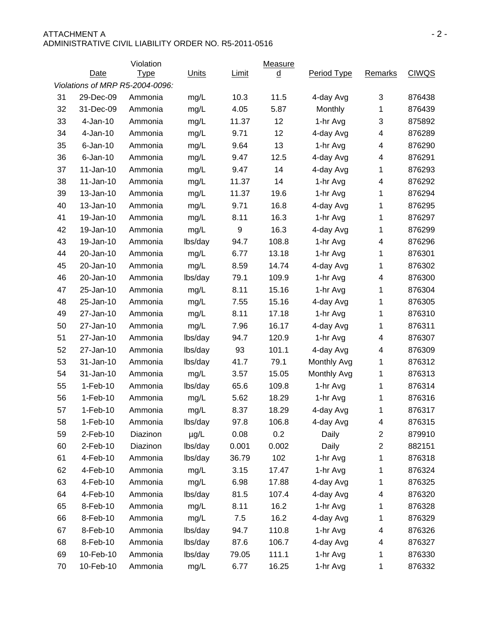| ATTACHMENT A                                          | -2- |
|-------------------------------------------------------|-----|
| ADMINISTRATIVE CIVIL LIABILITY ORDER NO. R5-2011-0516 |     |
|                                                       |     |

|    |             | Violation                       |              |              | Measure                  |             |                         |              |
|----|-------------|---------------------------------|--------------|--------------|--------------------------|-------------|-------------------------|--------------|
|    | <b>Date</b> | <b>Type</b>                     | <b>Units</b> | <b>Limit</b> | $\underline{\mathsf{d}}$ | Period Type | <b>Remarks</b>          | <b>CIWQS</b> |
|    |             | Violations of MRP R5-2004-0096: |              |              |                          |             |                         |              |
| 31 | 29-Dec-09   | Ammonia                         | mg/L         | 10.3         | 11.5                     | 4-day Avg   | 3                       | 876438       |
| 32 | 31-Dec-09   | Ammonia                         | mg/L         | 4.05         | 5.87                     | Monthly     | 1                       | 876439       |
| 33 | $4-Jan-10$  | Ammonia                         | mg/L         | 11.37        | 12                       | 1-hr Avg    | 3                       | 875892       |
| 34 | $4-Jan-10$  | Ammonia                         | mg/L         | 9.71         | 12                       | 4-day Avg   | 4                       | 876289       |
| 35 | $6$ -Jan-10 | Ammonia                         | mg/L         | 9.64         | 13                       | 1-hr Avg    | 4                       | 876290       |
| 36 | $6$ -Jan-10 | Ammonia                         | mg/L         | 9.47         | 12.5                     | 4-day Avg   | 4                       | 876291       |
| 37 | 11-Jan-10   | Ammonia                         | mg/L         | 9.47         | 14                       | 4-day Avg   | 1                       | 876293       |
| 38 | $11-Jan-10$ | Ammonia                         | mg/L         | 11.37        | 14                       | 1-hr Avg    | 4                       | 876292       |
| 39 | 13-Jan-10   | Ammonia                         | mg/L         | 11.37        | 19.6                     | 1-hr Avg    | 1                       | 876294       |
| 40 | 13-Jan-10   | Ammonia                         | mg/L         | 9.71         | 16.8                     | 4-day Avg   | 1                       | 876295       |
| 41 | 19-Jan-10   | Ammonia                         | mg/L         | 8.11         | 16.3                     | 1-hr Avg    | 1                       | 876297       |
| 42 | 19-Jan-10   | Ammonia                         | mg/L         | 9            | 16.3                     | 4-day Avg   | 1                       | 876299       |
| 43 | 19-Jan-10   | Ammonia                         | lbs/day      | 94.7         | 108.8                    | 1-hr Avg    | 4                       | 876296       |
| 44 | 20-Jan-10   | Ammonia                         | mg/L         | 6.77         | 13.18                    | 1-hr Avg    | 1                       | 876301       |
| 45 | 20-Jan-10   | Ammonia                         | mg/L         | 8.59         | 14.74                    | 4-day Avg   | 1                       | 876302       |
| 46 | 20-Jan-10   | Ammonia                         | lbs/day      | 79.1         | 109.9                    | 1-hr Avg    | 4                       | 876300       |
| 47 | 25-Jan-10   | Ammonia                         | mg/L         | 8.11         | 15.16                    | 1-hr Avg    | 1                       | 876304       |
| 48 | 25-Jan-10   | Ammonia                         | mg/L         | 7.55         | 15.16                    | 4-day Avg   | 1                       | 876305       |
| 49 | 27-Jan-10   | Ammonia                         | mg/L         | 8.11         | 17.18                    | 1-hr Avg    | 1                       | 876310       |
| 50 | 27-Jan-10   | Ammonia                         | mg/L         | 7.96         | 16.17                    | 4-day Avg   | 1                       | 876311       |
| 51 | 27-Jan-10   | Ammonia                         | lbs/day      | 94.7         | 120.9                    | 1-hr Avg    | 4                       | 876307       |
| 52 | 27-Jan-10   | Ammonia                         | lbs/day      | 93           | 101.1                    | 4-day Avg   | 4                       | 876309       |
| 53 | 31-Jan-10   | Ammonia                         | lbs/day      | 41.7         | 79.1                     | Monthly Avg | 1                       | 876312       |
| 54 | 31-Jan-10   | Ammonia                         | mg/L         | 3.57         | 15.05                    | Monthly Avg | 1                       | 876313       |
| 55 | 1-Feb-10    | Ammonia                         | lbs/day      | 65.6         | 109.8                    | 1-hr Avg    | 1                       | 876314       |
| 56 | $1-Feb-10$  | Ammonia                         | mg/L         | 5.62         | 18.29                    | 1-hr Avg    | 1                       | 876316       |
| 57 | $1-Feb-10$  | Ammonia                         | mg/L         | 8.37         | 18.29                    | 4-day Avg   | 1                       | 876317       |
| 58 | $1-Feb-10$  | Ammonia                         | lbs/day      | 97.8         | 106.8                    | 4-day Avg   | 4                       | 876315       |
| 59 | $2-Feb-10$  | Diazinon                        | $\mu$ g/L    | 0.08         | 0.2                      | Daily       | $\overline{\mathbf{c}}$ | 879910       |
| 60 | 2-Feb-10    | Diazinon                        | lbs/day      | 0.001        | 0.002                    | Daily       | $\overline{\mathbf{c}}$ | 882151       |
| 61 | 4-Feb-10    | Ammonia                         | lbs/day      | 36.79        | 102                      | 1-hr Avg    | 1                       | 876318       |
| 62 | 4-Feb-10    | Ammonia                         | mg/L         | 3.15         | 17.47                    | 1-hr Avg    | 1                       | 876324       |
| 63 | 4-Feb-10    | Ammonia                         | mg/L         | 6.98         | 17.88                    | 4-day Avg   | 1                       | 876325       |
| 64 | 4-Feb-10    | Ammonia                         | lbs/day      | 81.5         | 107.4                    | 4-day Avg   | 4                       | 876320       |
| 65 | 8-Feb-10    | Ammonia                         | mg/L         | 8.11         | 16.2                     | 1-hr Avg    | 1                       | 876328       |
| 66 | 8-Feb-10    | Ammonia                         | mg/L         | 7.5          | 16.2                     | 4-day Avg   | 1                       | 876329       |
| 67 | 8-Feb-10    | Ammonia                         | lbs/day      | 94.7         | 110.8                    | 1-hr Avg    | 4                       | 876326       |
| 68 | 8-Feb-10    | Ammonia                         | lbs/day      | 87.6         | 106.7                    | 4-day Avg   | 4                       | 876327       |
| 69 | 10-Feb-10   | Ammonia                         | lbs/day      | 79.05        | 111.1                    | 1-hr Avg    | 1                       | 876330       |
| 70 | 10-Feb-10   | Ammonia                         | mg/L         | 6.77         | 16.25                    | 1-hr Avg    | 1                       | 876332       |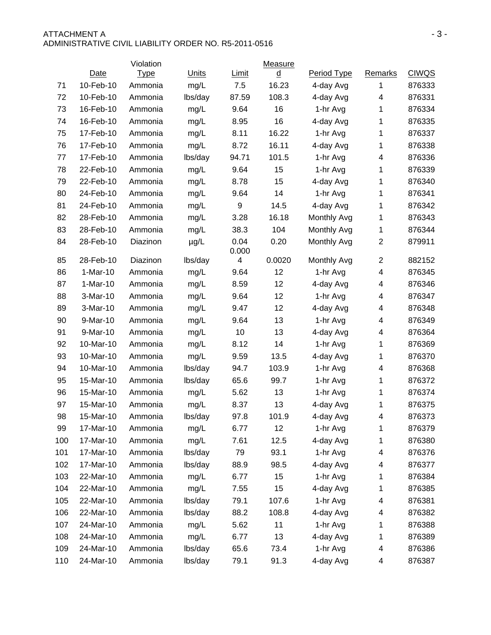#### ATTACHMENT A  $-3-$ ADMINISTRATIVE CIVIL LIABILITY ORDER NO. R5-2011-0516

|     |            | Violation   |              |               | Measure                  |             |                         |              |
|-----|------------|-------------|--------------|---------------|--------------------------|-------------|-------------------------|--------------|
|     | Date       | <b>Type</b> | <b>Units</b> | Limit         | $\underline{\mathsf{d}}$ | Period Type | <b>Remarks</b>          | <b>CIWQS</b> |
| 71  | 10-Feb-10  | Ammonia     | mg/L         | 7.5           | 16.23                    | 4-day Avg   | 1                       | 876333       |
| 72  | 10-Feb-10  | Ammonia     | lbs/day      | 87.59         | 108.3                    | 4-day Avg   | 4                       | 876331       |
| 73  | 16-Feb-10  | Ammonia     | mg/L         | 9.64          | 16                       | 1-hr Avg    | 1                       | 876334       |
| 74  | 16-Feb-10  | Ammonia     | mg/L         | 8.95          | 16                       | 4-day Avg   | 1                       | 876335       |
| 75  | 17-Feb-10  | Ammonia     | mg/L         | 8.11          | 16.22                    | 1-hr Avg    | 1                       | 876337       |
| 76  | 17-Feb-10  | Ammonia     | mg/L         | 8.72          | 16.11                    | 4-day Avg   | 1                       | 876338       |
| 77  | 17-Feb-10  | Ammonia     | lbs/day      | 94.71         | 101.5                    | 1-hr Avg    | 4                       | 876336       |
| 78  | 22-Feb-10  | Ammonia     | mg/L         | 9.64          | 15                       | 1-hr Avg    | 1                       | 876339       |
| 79  | 22-Feb-10  | Ammonia     | mg/L         | 8.78          | 15                       | 4-day Avg   | 1                       | 876340       |
| 80  | 24-Feb-10  | Ammonia     | mg/L         | 9.64          | 14                       | 1-hr Avg    | 1                       | 876341       |
| 81  | 24-Feb-10  | Ammonia     | mg/L         | 9             | 14.5                     | 4-day Avg   | 1                       | 876342       |
| 82  | 28-Feb-10  | Ammonia     | mg/L         | 3.28          | 16.18                    | Monthly Avg | 1                       | 876343       |
| 83  | 28-Feb-10  | Ammonia     | mg/L         | 38.3          | 104                      | Monthly Avg | 1                       | 876344       |
| 84  | 28-Feb-10  | Diazinon    | $\mu$ g/L    | 0.04<br>0.000 | 0.20                     | Monthly Avg | $\overline{\mathbf{c}}$ | 879911       |
| 85  | 28-Feb-10  | Diazinon    | lbs/day      | 4             | 0.0020                   | Monthly Avg | $\overline{c}$          | 882152       |
| 86  | $1-Mar-10$ | Ammonia     | mg/L         | 9.64          | 12                       | 1-hr Avg    | 4                       | 876345       |
| 87  | $1-Mar-10$ | Ammonia     | mg/L         | 8.59          | 12                       | 4-day Avg   | 4                       | 876346       |
| 88  | 3-Mar-10   | Ammonia     | mg/L         | 9.64          | 12                       | 1-hr Avg    | 4                       | 876347       |
| 89  | 3-Mar-10   | Ammonia     | mg/L         | 9.47          | 12                       | 4-day Avg   | 4                       | 876348       |
| 90  | 9-Mar-10   | Ammonia     | mg/L         | 9.64          | 13                       | 1-hr Avg    | 4                       | 876349       |
| 91  | 9-Mar-10   | Ammonia     | mg/L         | 10            | 13                       | 4-day Avg   | 4                       | 876364       |
| 92  | 10-Mar-10  | Ammonia     | mg/L         | 8.12          | 14                       | 1-hr Avg    | 1                       | 876369       |
| 93  | 10-Mar-10  | Ammonia     | mg/L         | 9.59          | 13.5                     | 4-day Avg   | 1                       | 876370       |
| 94  | 10-Mar-10  | Ammonia     | lbs/day      | 94.7          | 103.9                    | 1-hr Avg    | 4                       | 876368       |
| 95  | 15-Mar-10  | Ammonia     | lbs/day      | 65.6          | 99.7                     | 1-hr Avg    | 1                       | 876372       |
| 96  | 15-Mar-10  | Ammonia     | mg/L         | 5.62          | 13                       | 1-hr Avg    | 1                       | 876374       |
| 97  | 15-Mar-10  | Ammonia     | mg/L         | 8.37          | 13                       | 4-day Avg   | 1                       | 876375       |
| 98  | 15-Mar-10  | Ammonia     | lbs/day      | 97.8          | 101.9                    | 4-day Avg   | 4                       | 876373       |
| 99  | 17-Mar-10  | Ammonia     | mg/L         | 6.77          | 12                       | 1-hr Avg    | 1                       | 876379       |
| 100 | 17-Mar-10  | Ammonia     | mg/L         | 7.61          | 12.5                     | 4-day Avg   | 1                       | 876380       |
| 101 | 17-Mar-10  | Ammonia     | lbs/day      | 79            | 93.1                     | 1-hr Avg    | 4                       | 876376       |
| 102 | 17-Mar-10  | Ammonia     | lbs/day      | 88.9          | 98.5                     | 4-day Avg   | 4                       | 876377       |
| 103 | 22-Mar-10  | Ammonia     | mg/L         | 6.77          | 15                       | 1-hr Avg    | 1                       | 876384       |
| 104 | 22-Mar-10  | Ammonia     | mg/L         | 7.55          | 15                       | 4-day Avg   | 1                       | 876385       |
| 105 | 22-Mar-10  | Ammonia     | lbs/day      | 79.1          | 107.6                    | 1-hr Avg    | 4                       | 876381       |
| 106 | 22-Mar-10  | Ammonia     | lbs/day      | 88.2          | 108.8                    | 4-day Avg   | 4                       | 876382       |
| 107 | 24-Mar-10  | Ammonia     | mg/L         | 5.62          | 11                       | 1-hr Avg    | 1                       | 876388       |
| 108 | 24-Mar-10  | Ammonia     | mg/L         | 6.77          | 13                       | 4-day Avg   | 1                       | 876389       |
| 109 | 24-Mar-10  | Ammonia     | lbs/day      | 65.6          | 73.4                     | 1-hr Avg    | 4                       | 876386       |
| 110 | 24-Mar-10  | Ammonia     | lbs/day      | 79.1          | 91.3                     | 4-day Avg   | 4                       | 876387       |
|     |            |             |              |               |                          |             |                         |              |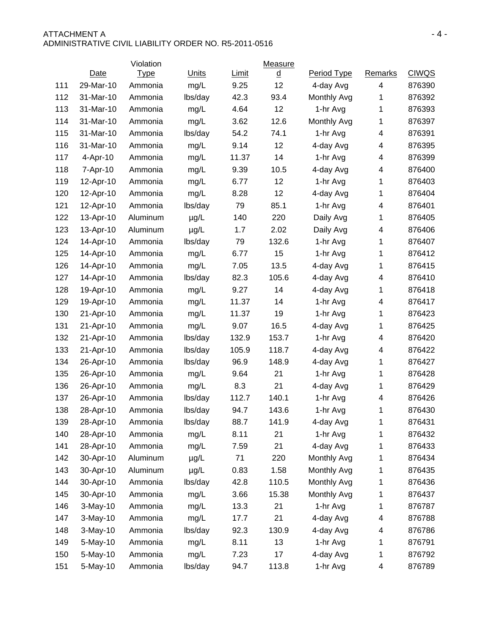#### ATTACHMENT A  $-4$  -ADMINISTRATIVE CIVIL LIABILITY ORDER NO. R5-2011-0516

|     |           | Violation   |         |       | <b>Measure</b>           |             |              |              |
|-----|-----------|-------------|---------|-------|--------------------------|-------------|--------------|--------------|
|     | Date      | <b>Type</b> | Units   | Limit | $\underline{\mathsf{d}}$ | Period Type | Remarks      | <b>CIWQS</b> |
| 111 | 29-Mar-10 | Ammonia     | mg/L    | 9.25  | 12                       | 4-day Avg   | 4            | 876390       |
| 112 | 31-Mar-10 | Ammonia     | lbs/day | 42.3  | 93.4                     | Monthly Avg | 1            | 876392       |
| 113 | 31-Mar-10 | Ammonia     | mg/L    | 4.64  | 12                       | 1-hr Avg    | 1            | 876393       |
| 114 | 31-Mar-10 | Ammonia     | mg/L    | 3.62  | 12.6                     | Monthly Avg | 1            | 876397       |
| 115 | 31-Mar-10 | Ammonia     | lbs/day | 54.2  | 74.1                     | 1-hr Avg    | 4            | 876391       |
| 116 | 31-Mar-10 | Ammonia     | mg/L    | 9.14  | 12                       | 4-day Avg   | 4            | 876395       |
| 117 | 4-Apr-10  | Ammonia     | mg/L    | 11.37 | 14                       | 1-hr Avg    | 4            | 876399       |
| 118 | 7-Apr-10  | Ammonia     | mg/L    | 9.39  | 10.5                     | 4-day Avg   | 4            | 876400       |
| 119 | 12-Apr-10 | Ammonia     | mg/L    | 6.77  | 12                       | 1-hr Avg    | $\mathbf{1}$ | 876403       |
| 120 | 12-Apr-10 | Ammonia     | mg/L    | 8.28  | 12                       | 4-day Avg   | 1            | 876404       |
| 121 | 12-Apr-10 | Ammonia     | lbs/day | 79    | 85.1                     | 1-hr Avg    | 4            | 876401       |
| 122 | 13-Apr-10 | Aluminum    | µg/L    | 140   | 220                      | Daily Avg   | 1            | 876405       |
| 123 | 13-Apr-10 | Aluminum    | µg/L    | 1.7   | 2.02                     | Daily Avg   | 4            | 876406       |
| 124 | 14-Apr-10 | Ammonia     | lbs/day | 79    | 132.6                    | 1-hr Avg    | 1            | 876407       |
| 125 | 14-Apr-10 | Ammonia     | mg/L    | 6.77  | 15                       | 1-hr Avg    | 1            | 876412       |
| 126 | 14-Apr-10 | Ammonia     | mg/L    | 7.05  | 13.5                     | 4-day Avg   | 1            | 876415       |
| 127 | 14-Apr-10 | Ammonia     | lbs/day | 82.3  | 105.6                    | 4-day Avg   | 4            | 876410       |
| 128 | 19-Apr-10 | Ammonia     | mg/L    | 9.27  | 14                       | 4-day Avg   | $\mathbf 1$  | 876418       |
| 129 | 19-Apr-10 | Ammonia     | mg/L    | 11.37 | 14                       | 1-hr Avg    | 4            | 876417       |
| 130 | 21-Apr-10 | Ammonia     | mg/L    | 11.37 | 19                       | 1-hr Avg    | 1            | 876423       |
| 131 | 21-Apr-10 | Ammonia     | mg/L    | 9.07  | 16.5                     | 4-day Avg   | $\mathbf{1}$ | 876425       |
| 132 | 21-Apr-10 | Ammonia     | lbs/day | 132.9 | 153.7                    | 1-hr Avg    | 4            | 876420       |
| 133 | 21-Apr-10 | Ammonia     | lbs/day | 105.9 | 118.7                    | 4-day Avg   | 4            | 876422       |
| 134 | 26-Apr-10 | Ammonia     | lbs/day | 96.9  | 148.9                    | 4-day Avg   | 1            | 876427       |
| 135 | 26-Apr-10 | Ammonia     | mg/L    | 9.64  | 21                       | 1-hr Avg    | 1            | 876428       |
| 136 | 26-Apr-10 | Ammonia     | mg/L    | 8.3   | 21                       | 4-day Avg   | $\mathbf{1}$ | 876429       |
| 137 | 26-Apr-10 | Ammonia     | lbs/day | 112.7 | 140.1                    | 1-hr Avg    | 4            | 876426       |
| 138 | 28-Apr-10 | Ammonia     | lbs/day | 94.7  | 143.6                    | 1-hr Avg    | 1            | 876430       |
| 139 | 28-Apr-10 | Ammonia     | lbs/day | 88.7  | 141.9                    | 4-day Avg   | 1            | 876431       |
| 140 | 28-Apr-10 | Ammonia     | mg/L    | 8.11  | 21                       | 1-hr Avg    | 1            | 876432       |
| 141 | 28-Apr-10 | Ammonia     | mg/L    | 7.59  | 21                       | 4-day Avg   | 1            | 876433       |
| 142 | 30-Apr-10 | Aluminum    | µg/L    | 71    | 220                      | Monthly Avg | 1            | 876434       |
| 143 | 30-Apr-10 | Aluminum    | µg/L    | 0.83  | 1.58                     | Monthly Avg | 1            | 876435       |
| 144 | 30-Apr-10 | Ammonia     | lbs/day | 42.8  | 110.5                    | Monthly Avg | 1            | 876436       |
| 145 | 30-Apr-10 | Ammonia     | mg/L    | 3.66  | 15.38                    | Monthly Avg | 1            | 876437       |
| 146 | 3-May-10  | Ammonia     | mg/L    | 13.3  | 21                       | 1-hr Avg    | 1            | 876787       |
| 147 | 3-May-10  | Ammonia     | mg/L    | 17.7  | 21                       | 4-day Avg   | 4            | 876788       |
| 148 | 3-May-10  | Ammonia     | lbs/day | 92.3  | 130.9                    | 4-day Avg   | 4            | 876786       |
| 149 | 5-May-10  | Ammonia     | mg/L    | 8.11  | 13                       | 1-hr Avg    | $\mathbf 1$  | 876791       |
| 150 | 5-May-10  | Ammonia     | mg/L    | 7.23  | 17                       | 4-day Avg   | 1            | 876792       |
| 151 | 5-May-10  | Ammonia     | lbs/day | 94.7  | 113.8                    | 1-hr Avg    | 4            | 876789       |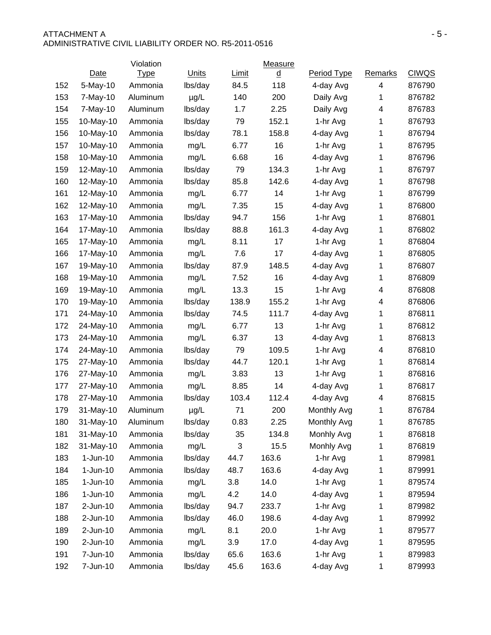### ATTACHMENT A FIRE A SERIES AND THE SERIES OF A SERIES AND THE SERIES OF A SERIES OF A SERIES OF A SERIES OF A SERIES OF A SERIES OF A SERIES OF A SERIES OF A SERIES OF A SERIES OF A SERIES OF A SERIES OF A SERIES OF A SERI ADMINISTRATIVE CIVIL LIABILITY ORDER NO. R5-2011-0516

|     |            | Violation   |           |       | <b>Measure</b>                       |             |                |              |
|-----|------------|-------------|-----------|-------|--------------------------------------|-------------|----------------|--------------|
|     | Date       | <b>Type</b> | Units     | Limit | $\underline{\underline{\mathsf{d}}}$ | Period Type | <b>Remarks</b> | <b>CIWQS</b> |
| 152 | 5-May-10   | Ammonia     | lbs/day   | 84.5  | 118                                  | 4-day Avg   | 4              | 876790       |
| 153 | 7-May-10   | Aluminum    | $\mu$ g/L | 140   | 200                                  | Daily Avg   | 1              | 876782       |
| 154 | 7-May-10   | Aluminum    | lbs/day   | 1.7   | 2.25                                 | Daily Avg   | 4              | 876783       |
| 155 | 10-May-10  | Ammonia     | lbs/day   | 79    | 152.1                                | 1-hr Avg    | 1              | 876793       |
| 156 | 10-May-10  | Ammonia     | lbs/day   | 78.1  | 158.8                                | 4-day Avg   | 1              | 876794       |
| 157 | 10-May-10  | Ammonia     | mg/L      | 6.77  | 16                                   | 1-hr Avg    | 1              | 876795       |
| 158 | 10-May-10  | Ammonia     | mg/L      | 6.68  | 16                                   | 4-day Avg   | 1              | 876796       |
| 159 | 12-May-10  | Ammonia     | lbs/day   | 79    | 134.3                                | 1-hr Avg    | 1              | 876797       |
| 160 | 12-May-10  | Ammonia     | lbs/day   | 85.8  | 142.6                                | 4-day Avg   | 1              | 876798       |
| 161 | 12-May-10  | Ammonia     | mg/L      | 6.77  | 14                                   | 1-hr Avg    | 1              | 876799       |
| 162 | 12-May-10  | Ammonia     | mg/L      | 7.35  | 15                                   | 4-day Avg   | 1              | 876800       |
| 163 | 17-May-10  | Ammonia     | lbs/day   | 94.7  | 156                                  | 1-hr Avg    | 1              | 876801       |
| 164 | 17-May-10  | Ammonia     | lbs/day   | 88.8  | 161.3                                | 4-day Avg   | 1              | 876802       |
| 165 | 17-May-10  | Ammonia     | mg/L      | 8.11  | 17                                   | 1-hr Avg    | 1              | 876804       |
| 166 | 17-May-10  | Ammonia     | mg/L      | 7.6   | 17                                   | 4-day Avg   | 1              | 876805       |
| 167 | 19-May-10  | Ammonia     | lbs/day   | 87.9  | 148.5                                | 4-day Avg   | 1              | 876807       |
| 168 | 19-May-10  | Ammonia     | mg/L      | 7.52  | 16                                   | 4-day Avg   | 1              | 876809       |
| 169 | 19-May-10  | Ammonia     | mg/L      | 13.3  | 15                                   | 1-hr Avg    | 4              | 876808       |
| 170 | 19-May-10  | Ammonia     | lbs/day   | 138.9 | 155.2                                | 1-hr Avg    | 4              | 876806       |
| 171 | 24-May-10  | Ammonia     | lbs/day   | 74.5  | 111.7                                | 4-day Avg   | 1              | 876811       |
| 172 | 24-May-10  | Ammonia     | mg/L      | 6.77  | 13                                   | 1-hr Avg    | 1              | 876812       |
| 173 | 24-May-10  | Ammonia     | mg/L      | 6.37  | 13                                   | 4-day Avg   | 1              | 876813       |
| 174 | 24-May-10  | Ammonia     | lbs/day   | 79    | 109.5                                | 1-hr Avg    | 4              | 876810       |
| 175 | 27-May-10  | Ammonia     | lbs/day   | 44.7  | 120.1                                | 1-hr Avg    | 1              | 876814       |
| 176 | 27-May-10  | Ammonia     | mg/L      | 3.83  | 13                                   | 1-hr Avg    | 1              | 876816       |
| 177 | 27-May-10  | Ammonia     | mg/L      | 8.85  | 14                                   | 4-day Avg   | 1              | 876817       |
| 178 | 27-May-10  | Ammonia     | lbs/day   | 103.4 | 112.4                                | 4-day Avg   | 4              | 876815       |
| 179 | 31-May-10  | Aluminum    | $\mu$ g/L | 71    | 200                                  | Monthly Avg | 1              | 876784       |
| 180 | 31-May-10  | Aluminum    | lbs/day   | 0.83  | 2.25                                 | Monthly Avg | 1              | 876785       |
| 181 | 31-May-10  | Ammonia     | lbs/day   | 35    | 134.8                                | Monhly Avg  | 1              | 876818       |
| 182 | 31-May-10  | Ammonia     | mg/L      | 3     | 15.5                                 | Monhly Avg  | 1              | 876819       |
| 183 | $1-Jun-10$ | Ammonia     | lbs/day   | 44.7  | 163.6                                | 1-hr Avg    | 1              | 879981       |
| 184 | $1-Jun-10$ | Ammonia     | lbs/day   | 48.7  | 163.6                                | 4-day Avg   | 1              | 879991       |
| 185 | $1-Jun-10$ | Ammonia     | mg/L      | 3.8   | 14.0                                 | 1-hr Avg    | 1              | 879574       |
| 186 | $1-Jun-10$ | Ammonia     | mg/L      | 4.2   | 14.0                                 | 4-day Avg   | 1              | 879594       |
| 187 | 2-Jun-10   | Ammonia     | lbs/day   | 94.7  | 233.7                                | 1-hr Avg    | 1              | 879982       |
| 188 | 2-Jun-10   | Ammonia     | lbs/day   | 46.0  | 198.6                                | 4-day Avg   | 1              | 879992       |
| 189 | 2-Jun-10   | Ammonia     | mg/L      | 8.1   | 20.0                                 | 1-hr Avg    | 1              | 879577       |
| 190 | 2-Jun-10   | Ammonia     | mg/L      | 3.9   | 17.0                                 | 4-day Avg   | 1              | 879595       |
| 191 | 7-Jun-10   | Ammonia     | lbs/day   | 65.6  | 163.6                                | 1-hr Avg    | 1              | 879983       |
| 192 | 7-Jun-10   | Ammonia     | lbs/day   | 45.6  | 163.6                                | 4-day Avg   | 1              | 879993       |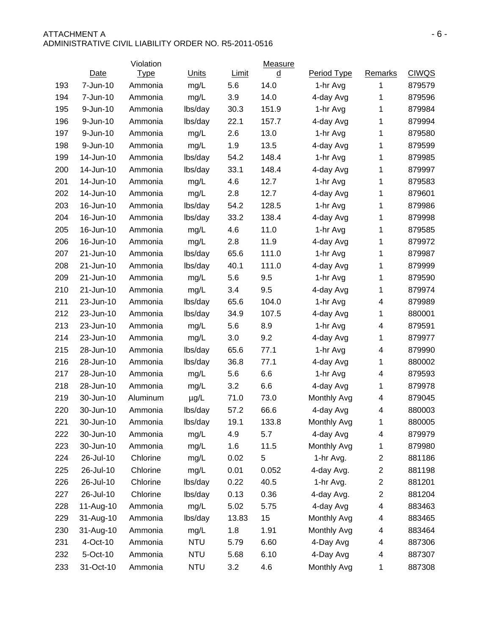### ATTACHMENT A  $-6 -$ ADMINISTRATIVE CIVIL LIABILITY ORDER NO. R5-2011-0516

|     |           | Violation   |              |       | Measure                  |             |                         |              |
|-----|-----------|-------------|--------------|-------|--------------------------|-------------|-------------------------|--------------|
|     | Date      | <b>Type</b> | <b>Units</b> | Limit | $\underline{\mathsf{d}}$ | Period Type | <b>Remarks</b>          | <b>CIWQS</b> |
| 193 | 7-Jun-10  | Ammonia     | mg/L         | 5.6   | 14.0                     | 1-hr Avg    | 1                       | 879579       |
| 194 | 7-Jun-10  | Ammonia     | mg/L         | 3.9   | 14.0                     | 4-day Avg   | 1                       | 879596       |
| 195 | 9-Jun-10  | Ammonia     | lbs/day      | 30.3  | 151.9                    | 1-hr Avg    | 1                       | 879984       |
| 196 | 9-Jun-10  | Ammonia     | lbs/day      | 22.1  | 157.7                    | 4-day Avg   | 1                       | 879994       |
| 197 | 9-Jun-10  | Ammonia     | mg/L         | 2.6   | 13.0                     | 1-hr Avg    | $\mathbf 1$             | 879580       |
| 198 | 9-Jun-10  | Ammonia     | mg/L         | 1.9   | 13.5                     | 4-day Avg   | 1                       | 879599       |
| 199 | 14-Jun-10 | Ammonia     | lbs/day      | 54.2  | 148.4                    | 1-hr Avg    | 1                       | 879985       |
| 200 | 14-Jun-10 | Ammonia     | lbs/day      | 33.1  | 148.4                    | 4-day Avg   | 1                       | 879997       |
| 201 | 14-Jun-10 | Ammonia     | mg/L         | 4.6   | 12.7                     | 1-hr Avg    | 1                       | 879583       |
| 202 | 14-Jun-10 | Ammonia     | mg/L         | 2.8   | 12.7                     | 4-day Avg   | 1                       | 879601       |
| 203 | 16-Jun-10 | Ammonia     | lbs/day      | 54.2  | 128.5                    | 1-hr Avg    | 1                       | 879986       |
| 204 | 16-Jun-10 | Ammonia     | lbs/day      | 33.2  | 138.4                    | 4-day Avg   | 1                       | 879998       |
| 205 | 16-Jun-10 | Ammonia     | mg/L         | 4.6   | 11.0                     | 1-hr Avg    | 1                       | 879585       |
| 206 | 16-Jun-10 | Ammonia     | mg/L         | 2.8   | 11.9                     | 4-day Avg   | 1                       | 879972       |
| 207 | 21-Jun-10 | Ammonia     | lbs/day      | 65.6  | 111.0                    | 1-hr Avg    | 1                       | 879987       |
| 208 | 21-Jun-10 | Ammonia     | lbs/day      | 40.1  | 111.0                    | 4-day Avg   | 1                       | 879999       |
| 209 | 21-Jun-10 | Ammonia     | mg/L         | 5.6   | 9.5                      | 1-hr Avg    | $\mathbf 1$             | 879590       |
| 210 | 21-Jun-10 | Ammonia     | mg/L         | 3.4   | 9.5                      | 4-day Avg   | 1                       | 879974       |
| 211 | 23-Jun-10 | Ammonia     | lbs/day      | 65.6  | 104.0                    | 1-hr Avg    | 4                       | 879989       |
| 212 | 23-Jun-10 | Ammonia     | lbs/day      | 34.9  | 107.5                    | 4-day Avg   | $\mathbf 1$             | 880001       |
| 213 | 23-Jun-10 | Ammonia     | mg/L         | 5.6   | 8.9                      | 1-hr Avg    | 4                       | 879591       |
| 214 | 23-Jun-10 | Ammonia     | mg/L         | 3.0   | 9.2                      | 4-day Avg   | 1                       | 879977       |
| 215 | 28-Jun-10 | Ammonia     | lbs/day      | 65.6  | 77.1                     | 1-hr Avg    | 4                       | 879990       |
| 216 | 28-Jun-10 | Ammonia     | lbs/day      | 36.8  | 77.1                     | 4-day Avg   | $\mathbf 1$             | 880002       |
| 217 | 28-Jun-10 | Ammonia     | mg/L         | 5.6   | 6.6                      | 1-hr Avg    | 4                       | 879593       |
| 218 | 28-Jun-10 | Ammonia     | mg/L         | 3.2   | 6.6                      | 4-day Avg   | $\mathbf 1$             | 879978       |
| 219 | 30-Jun-10 | Aluminum    | $\mu$ g/L    | 71.0  | 73.0                     | Monthly Avg | 4                       | 879045       |
| 220 | 30-Jun-10 | Ammonia     | lbs/day      | 57.2  | 66.6                     | 4-day Avg   | 4                       | 880003       |
| 221 | 30-Jun-10 | Ammonia     | lbs/day      | 19.1  | 133.8                    | Monthly Avg | 1                       | 880005       |
| 222 | 30-Jun-10 | Ammonia     | mg/L         | 4.9   | 5.7                      | 4-day Avg   | 4                       | 879979       |
| 223 | 30-Jun-10 | Ammonia     | mg/L         | 1.6   | 11.5                     | Monthly Avg | 1                       | 879980       |
| 224 | 26-Jul-10 | Chlorine    | mg/L         | 0.02  | 5                        | 1-hr Avg.   | $\overline{\mathbf{c}}$ | 881186       |
| 225 | 26-Jul-10 | Chlorine    | mg/L         | 0.01  | 0.052                    | 4-day Avg.  | $\overline{\mathbf{c}}$ | 881198       |
| 226 | 26-Jul-10 | Chlorine    | lbs/day      | 0.22  | 40.5                     | 1-hr Avg.   | 2                       | 881201       |
| 227 | 26-Jul-10 | Chlorine    | lbs/day      | 0.13  | 0.36                     | 4-day Avg.  | 2                       | 881204       |
| 228 | 11-Aug-10 | Ammonia     | mg/L         | 5.02  | 5.75                     | 4-day Avg   | 4                       | 883463       |
| 229 | 31-Aug-10 | Ammonia     | lbs/day      | 13.83 | 15                       | Monthly Avg | 4                       | 883465       |
| 230 | 31-Aug-10 | Ammonia     | mg/L         | 1.8   | 1.91                     | Monthly Avg | 4                       | 883464       |
| 231 | 4-Oct-10  | Ammonia     | <b>NTU</b>   | 5.79  | 6.60                     | 4-Day Avg   | 4                       | 887306       |
| 232 | 5-Oct-10  | Ammonia     | <b>NTU</b>   | 5.68  | 6.10                     | 4-Day Avg   | 4                       | 887307       |
| 233 | 31-Oct-10 | Ammonia     | <b>NTU</b>   | 3.2   | 4.6                      | Monthly Avg | 1                       | 887308       |
|     |           |             |              |       |                          |             |                         |              |